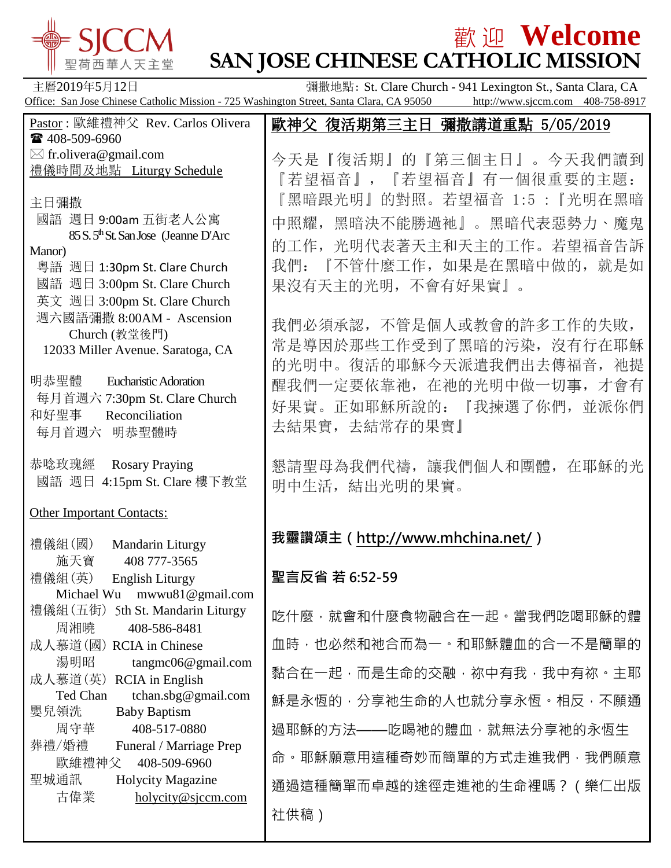

# $\frac{1}{2}$   $\frac{1}{2}$   $\frac{1}{2}$   $\frac{1}{2}$   $\frac{1}{2}$   $\frac{1}{2}$   $\frac{1}{2}$   $\frac{1}{2}$   $\frac{1}{2}$   $\frac{1}{2}$   $\frac{1}{2}$   $\frac{1}{2}$   $\frac{1}{2}$   $\frac{1}{2}$   $\frac{1}{2}$   $\frac{1}{2}$   $\frac{1}{2}$   $\frac{1}{2}$   $\frac{1}{2}$   $\frac{1}{2}$   $\frac{1}{2}$   $\frac{1}{2}$ **SAN JOSE CHINESE CATHOLIC MISSION**

| 主曆2019年5月12日                                                                                                   | 彌撒地點: St. Clare Church - 941 Lexington St., Santa Clara, CA<br>Office: San Jose Chinese Catholic Mission - 725 Washington Street, Santa Clara, CA 95050 http://www.sjccm.com 408-758-8917 |
|----------------------------------------------------------------------------------------------------------------|-------------------------------------------------------------------------------------------------------------------------------------------------------------------------------------------|
| Pastor: 歐維禮神父 Rev. Carlos Olivera<br>☎ 408-509-6960                                                            | 歐神父 復活期第三主日 彌撒講道重點 5/05/2019                                                                                                                                                              |
| $\boxtimes$ fr.olivera@gmail.com<br>禮儀時間及地點 Liturgy Schedule                                                   | 今天是『復活期』的『第三個主日』。今天我們讀到<br>『若望福音』, 『若望福音』有一個很重要的主題:                                                                                                                                       |
| 主日彌撒<br>國語 週日 9:00am 五街老人公寓                                                                                    | 『黑暗跟光明』的對照。若望福音 1:5 :『光明在黑暗<br>中照耀,黑暗決不能勝過祂』。黑暗代表惡勢力、魔鬼                                                                                                                                   |
| 85 S.5 <sup>th</sup> St. San Jose (Jeanne D'Arc<br>Manor)                                                      | 的工作, 光明代表著天主和天主的工作。若望福音告訴                                                                                                                                                                 |
| 粵語 週日 1:30pm St. Clare Church<br>國語 週日 3:00pm St. Clare Church<br>英文 週日 3:00pm St. Clare Church                | 我們: 『不管什麼工作, 如果是在黑暗中做的, 就是如<br>果沒有天主的光明, 不會有好果實』。                                                                                                                                         |
| 週六國語彌撒 8:00AM - Ascension<br>Church (教堂後門)<br>12033 Miller Avenue. Saratoga, CA                                | 我們必須承認, 不管是個人或教會的許多工作的失敗,<br>常是導因於那些工作受到了黑暗的污染, 沒有行在耶穌<br>的光明中。復活的耶穌今天派遣我們出去傳福音, 祂提                                                                                                       |
| 明恭聖體<br><b>Eucharistic Adoration</b><br>每月首週六 7:30pm St. Clare Church<br>和好聖事<br>Reconciliation<br>每月首週六 明恭聖體時 | 醒我們一定要依靠祂, 在祂的光明中做一切事, 才會有<br>好果實。正如耶穌所說的: 『我揀選了你們, 並派你們<br>去結果實,去結常存的果實』                                                                                                                 |
| 恭唸玫瑰經<br><b>Rosary Praying</b><br>國語 週日 4:15pm St. Clare 樓下教堂                                                  | 懇請聖母為我們代禱,讓我們個人和團體,在耶穌的光<br>明中生活, 結出光明的果實。                                                                                                                                                |
| <b>Other Important Contacts:</b>                                                                               |                                                                                                                                                                                           |
| 禮儀組(國)<br>Mandarin Liturgy<br>施天寶<br>408 777-3565                                                              | 我靈讚頌主 (http://www.mhchina.net/)                                                                                                                                                           |
| 禮儀組(英)<br><b>English Liturgy</b><br>Michael Wu mwwu81@gmail.com                                                | 聖言反省 若 6:52-59                                                                                                                                                                            |
| 禮儀組 (五街) 5th St. Mandarin Liturgy<br>周湘曉<br>408-586-8481                                                       | 吃什麼·就會和什麼食物融合在一起。當我們吃喝耶穌的體                                                                                                                                                                |
| 成人慕道(國) RCIA in Chinese<br>湯明昭<br>tangmc06@gmail.com                                                           | 血時,也必然和祂合而為一。和耶穌體血的合一不是簡單的                                                                                                                                                                |
| 成人慕道(英) RCIA in English<br>Ted Chan<br>tchan.sbg@gmail.com                                                     | 黏合在一起,而是生命的交融,祢中有我,我中有祢。主耶                                                                                                                                                                |
| 嬰兒領洗<br><b>Baby Baptism</b>                                                                                    | 穌是永恆的,分享祂生命的人也就分享永恆。相反,不願通                                                                                                                                                                |
| 周守華<br>408-517-0880<br>葬禮/婚禮<br>Funeral / Marriage Prep                                                        | 過耶穌的方法——吃喝祂的體血, 就無法分享祂的永恆生                                                                                                                                                                |
| 歐維禮神父<br>408-509-6960<br>聖城通訊<br><b>Holycity Magazine</b>                                                      | 命。耶穌願意用這種奇妙而簡單的方式走進我們,我們願意<br>通過這種簡單而卓越的途徑走進祂的生命裡嗎?(樂仁出版                                                                                                                                  |
| 古偉業<br>holycity@sjccm.com                                                                                      | 社供稿)                                                                                                                                                                                      |
|                                                                                                                |                                                                                                                                                                                           |